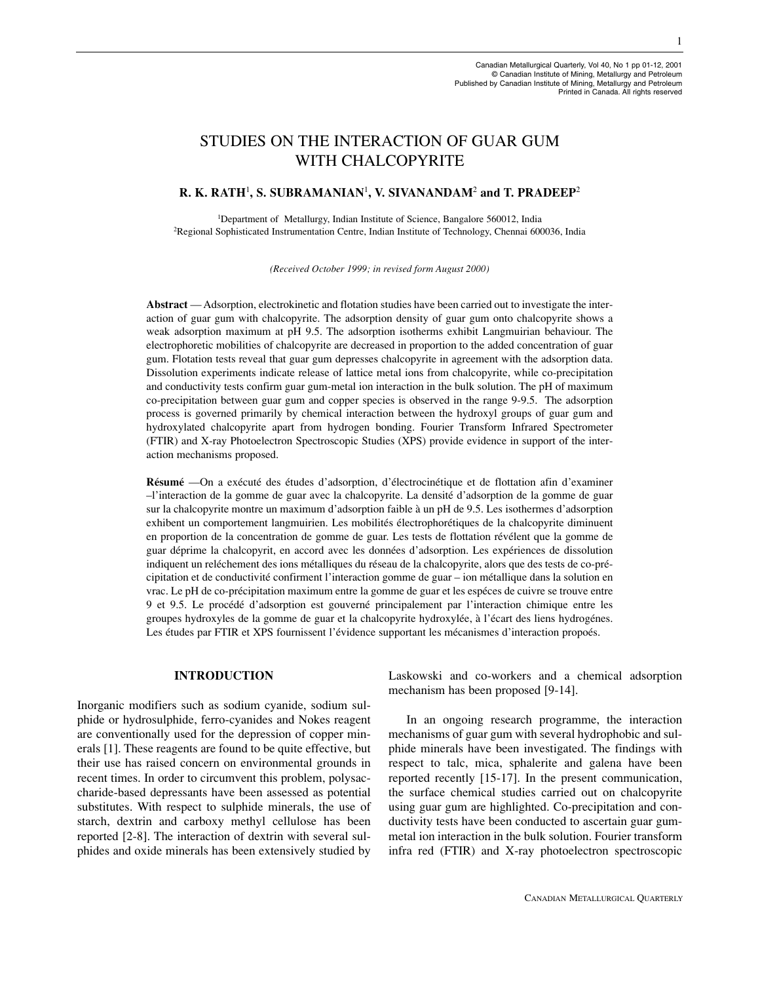# STUDIES ON THE INTERACTION OF GUAR GUM WITH CHALCOPYRITE

# **R. K. RATH**<sup>1</sup> **, S. SUBRAMANIAN**<sup>1</sup> **, V. SIVANANDAM**<sup>2</sup> **and T. PRADEEP**<sup>2</sup>

<sup>1</sup>Department of Metallurgy, Indian Institute of Science, Bangalore 560012, India <sup>2</sup>Regional Sophisticated Instrumentation Centre, Indian Institute of Technology, Chennai 600036, India

*(Received October 1999; in revised form August 2000)*

**Abstract** — Adsorption, electrokinetic and flotation studies have been carried out to investigate the interaction of guar gum with chalcopyrite. The adsorption density of guar gum onto chalcopyrite shows a weak adsorption maximum at pH 9.5. The adsorption isotherms exhibit Langmuirian behaviour. The electrophoretic mobilities of chalcopyrite are decreased in proportion to the added concentration of guar gum. Flotation tests reveal that guar gum depresses chalcopyrite in agreement with the adsorption data. Dissolution experiments indicate release of lattice metal ions from chalcopyrite, while co-precipitation and conductivity tests confirm guar gum-metal ion interaction in the bulk solution. The pH of maximum co-precipitation between guar gum and copper species is observed in the range 9-9.5. The adsorption process is governed primarily by chemical interaction between the hydroxyl groups of guar gum and hydroxylated chalcopyrite apart from hydrogen bonding. Fourier Transform Infrared Spectrometer (FTIR) and X-ray Photoelectron Spectroscopic Studies (XPS) provide evidence in support of the interaction mechanisms proposed.

**Résumé** —On a exécuté des études d'adsorption, d'électrocinétique et de flottation afin d'examiner –l'interaction de la gomme de guar avec la chalcopyrite. La densité d'adsorption de la gomme de guar sur la chalcopyrite montre un maximum d'adsorption faible à un pH de 9.5. Les isothermes d'adsorption exhibent un comportement langmuirien. Les mobilités électrophorétiques de la chalcopyrite diminuent en proportion de la concentration de gomme de guar. Les tests de flottation révélent que la gomme de guar déprime la chalcopyrit, en accord avec les données d'adsorption. Les expériences de dissolution indiquent un reléchement des ions métalliques du réseau de la chalcopyrite, alors que des tests de co-précipitation et de conductivité confirment l'interaction gomme de guar – ion métallique dans la solution en vrac. Le pH de co-précipitation maximum entre la gomme de guar et les espéces de cuivre se trouve entre 9 et 9.5. Le procédé d'adsorption est gouverné principalement par l'interaction chimique entre les groupes hydroxyles de la gomme de guar et la chalcopyrite hydroxylée, à l'écart des liens hydrogénes. Les études par FTIR et XPS fournissent l'évidence supportant les mécanismes d'interaction propoés.

## **INTRODUCTION**

Inorganic modifiers such as sodium cyanide, sodium sulphide or hydrosulphide, ferro-cyanides and Nokes reagent are conventionally used for the depression of copper minerals [1]. These reagents are found to be quite effective, but their use has raised concern on environmental grounds in recent times. In order to circumvent this problem, polysaccharide-based depressants have been assessed as potential substitutes. With respect to sulphide minerals, the use of starch, dextrin and carboxy methyl cellulose has been reported [2-8]. The interaction of dextrin with several sulphides and oxide minerals has been extensively studied by Laskowski and co-workers and a chemical adsorption mechanism has been proposed [9-14].

In an ongoing research programme, the interaction mechanisms of guar gum with several hydrophobic and sulphide minerals have been investigated. The findings with respect to talc, mica, sphalerite and galena have been reported recently [15-17]. In the present communication, the surface chemical studies carried out on chalcopyrite using guar gum are highlighted. Co-precipitation and conductivity tests have been conducted to ascertain guar gummetal ion interaction in the bulk solution. Fourier transform infra red (FTIR) and X-ray photoelectron spectroscopic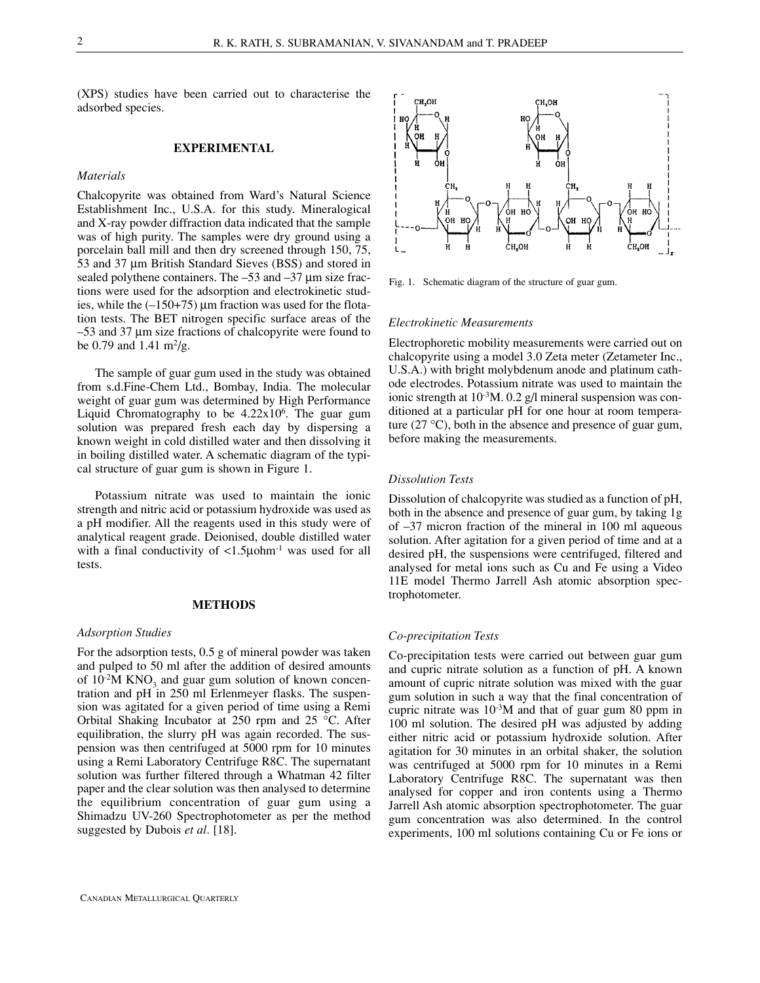(XPS) studies have been carried out to characterise the adsorbed species.

## **EXPERIMENTAL**

#### *Materials*

Chalcopyrite was obtained from Ward's Natural Science Establishment Inc., U.S.A. for this study. Mineralogical and X-ray powder diffraction data indicated that the sample was of high purity. The samples were dry ground using a porcelain ball mill and then dry screened through 150, 75, 53 and 37 µm British Standard Sieves (BSS) and stored in sealed polythene containers. The  $-53$  and  $-37 \mu m$  size fractions were used for the adsorption and electrokinetic studies, while the  $(-150+75)$  µm fraction was used for the flotation tests. The BET nitrogen specific surface areas of the –53 and 37 µm size fractions of chalcopyrite were found to be 0.79 and 1.41  $\text{m}^2/\text{g}$ .

The sample of guar gum used in the study was obtained from s.d.Fine-Chem Ltd., Bombay, India. The molecular weight of guar gum was determined by High Performance Liquid Chromatography to be  $4.22 \times 10^6$ . The guar gum solution was prepared fresh each day by dispersing a known weight in cold distilled water and then dissolving it in boiling distilled water. A schematic diagram of the typical structure of guar gum is shown in Figure 1.

Potassium nitrate was used to maintain the ionic strength and nitric acid or potassium hydroxide was used as a pH modifier. All the reagents used in this study were of analytical reagent grade. Deionised, double distilled water with a final conductivity of  $\langle 1.5 \mu$ ohm<sup>-1</sup> was used for all tests.

#### **METHODS**

#### *Adsorption Studies*

For the adsorption tests, 0.5 g of mineral powder was taken and pulped to 50 ml after the addition of desired amounts of  $10<sup>2</sup>M$  KNO<sub>3</sub> and guar gum solution of known concentration and pH in 250 ml Erlenmeyer flasks. The suspension was agitated for a given period of time using a Remi Orbital Shaking Incubator at 250 rpm and 25 °C. After equilibration, the slurry pH was again recorded. The suspension was then centrifuged at 5000 rpm for 10 minutes using a Remi Laboratory Centrifuge R8C. The supernatant solution was further filtered through a Whatman 42 filter paper and the clear solution was then analysed to determine the equilibrium concentration of guar gum using a Shimadzu UV-260 Spectrophotometer as per the method suggested by Dubois *et al.* [18].



Fig. 1. Schematic diagram of the structure of guar gum.

#### *Electrokinetic Measurements*

Electrophoretic mobility measurements were carried out on chalcopyrite using a model 3.0 Zeta meter (Zetameter Inc., U.S.A.) with bright molybdenum anode and platinum cathode electrodes. Potassium nitrate was used to maintain the ionic strength at  $10^{-3}$ M. 0.2 g/l mineral suspension was conditioned at a particular pH for one hour at room temperature  $(27 \text{ °C})$ , both in the absence and presence of guar gum, before making the measurements.

## *Dissolution Tests*

Dissolution of chalcopyrite was studied as a function of pH, both in the absence and presence of guar gum, by taking 1g of –37 micron fraction of the mineral in 100 ml aqueous solution. After agitation for a given period of time and at a desired pH, the suspensions were centrifuged, filtered and analysed for metal ions such as Cu and Fe using a Video 11E model Thermo Jarrell Ash atomic absorption spectrophotometer.

## *Co-precipitation Tests*

Co-precipitation tests were carried out between guar gum and cupric nitrate solution as a function of pH. A known amount of cupric nitrate solution was mixed with the guar gum solution in such a way that the final concentration of cupric nitrate was  $10^{-3}$ M and that of guar gum 80 ppm in 100 ml solution. The desired pH was adjusted by adding either nitric acid or potassium hydroxide solution. After agitation for 30 minutes in an orbital shaker, the solution was centrifuged at 5000 rpm for 10 minutes in a Remi Laboratory Centrifuge R8C. The supernatant was then analysed for copper and iron contents using a Thermo Jarrell Ash atomic absorption spectrophotometer. The guar gum concentration was also determined. In the control experiments, 100 ml solutions containing Cu or Fe ions or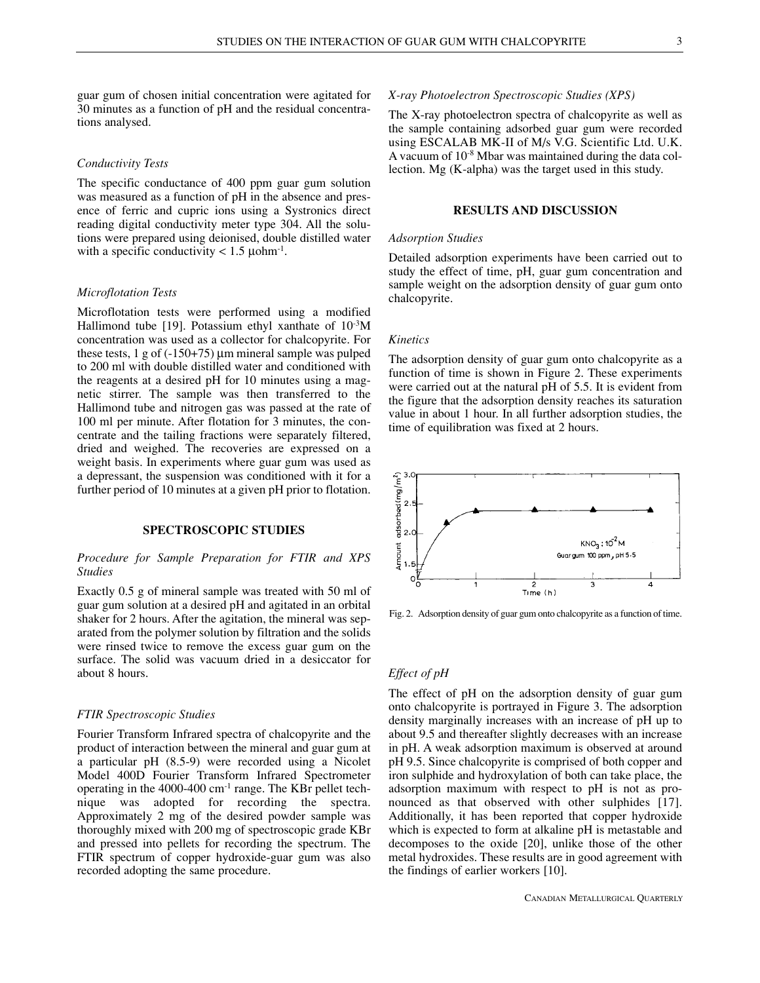guar gum of chosen initial concentration were agitated for 30 minutes as a function of pH and the residual concentrations analysed.

#### *Conductivity Tests*

The specific conductance of 400 ppm guar gum solution was measured as a function of pH in the absence and presence of ferric and cupric ions using a Systronics direct reading digital conductivity meter type 304. All the solutions were prepared using deionised, double distilled water with a specific conductivity  $< 1.5 \text{ \mu}$ ohm<sup>-1</sup>.

#### *Microflotation Tests*

Microflotation tests were performed using a modified Hallimond tube [19]. Potassium ethyl xanthate of  $10^{-3}$ M concentration was used as a collector for chalcopyrite. For these tests,  $1 \text{ g of } (-150+75)$  µm mineral sample was pulped to 200 ml with double distilled water and conditioned with the reagents at a desired pH for 10 minutes using a magnetic stirrer. The sample was then transferred to the Hallimond tube and nitrogen gas was passed at the rate of 100 ml per minute. After flotation for 3 minutes, the concentrate and the tailing fractions were separately filtered, dried and weighed. The recoveries are expressed on a weight basis. In experiments where guar gum was used as a depressant, the suspension was conditioned with it for a further period of 10 minutes at a given pH prior to flotation.

# **SPECTROSCOPIC STUDIES**

### *Procedure for Sample Preparation for FTIR and XPS Studies*

Exactly 0.5 g of mineral sample was treated with 50 ml of guar gum solution at a desired pH and agitated in an orbital shaker for 2 hours. After the agitation, the mineral was separated from the polymer solution by filtration and the solids were rinsed twice to remove the excess guar gum on the surface. The solid was vacuum dried in a desiccator for about 8 hours.

### *FTIR Spectroscopic Studies*

Fourier Transform Infrared spectra of chalcopyrite and the product of interaction between the mineral and guar gum at a particular pH (8.5-9) were recorded using a Nicolet Model 400D Fourier Transform Infrared Spectrometer operating in the 4000-400 cm-1 range. The KBr pellet technique was adopted for recording the spectra. Approximately 2 mg of the desired powder sample was thoroughly mixed with 200 mg of spectroscopic grade KBr and pressed into pellets for recording the spectrum. The FTIR spectrum of copper hydroxide-guar gum was also recorded adopting the same procedure.

#### *X-ray Photoelectron Spectroscopic Studies (XPS)*

The X-ray photoelectron spectra of chalcopyrite as well as the sample containing adsorbed guar gum were recorded using ESCALAB MK-II of M/s V.G. Scientific Ltd. U.K. A vacuum of 10-8 Mbar was maintained during the data collection. Mg (K-alpha) was the target used in this study.

#### **RESULTS AND DISCUSSION**

#### *Adsorption Studies*

Detailed adsorption experiments have been carried out to study the effect of time, pH, guar gum concentration and sample weight on the adsorption density of guar gum onto chalcopyrite.

## *Kinetics*

The adsorption density of guar gum onto chalcopyrite as a function of time is shown in Figure 2. These experiments were carried out at the natural pH of 5.5. It is evident from the figure that the adsorption density reaches its saturation value in about 1 hour. In all further adsorption studies, the time of equilibration was fixed at 2 hours.



Fig. 2. Adsorption density of guar gum onto chalcopyrite as a function of time.

#### *Effect of pH*

The effect of pH on the adsorption density of guar gum onto chalcopyrite is portrayed in Figure 3. The adsorption density marginally increases with an increase of pH up to about 9.5 and thereafter slightly decreases with an increase in pH. A weak adsorption maximum is observed at around pH 9.5. Since chalcopyrite is comprised of both copper and iron sulphide and hydroxylation of both can take place, the adsorption maximum with respect to pH is not as pronounced as that observed with other sulphides [17]. Additionally, it has been reported that copper hydroxide which is expected to form at alkaline pH is metastable and decomposes to the oxide [20], unlike those of the other metal hydroxides. These results are in good agreement with the findings of earlier workers [10].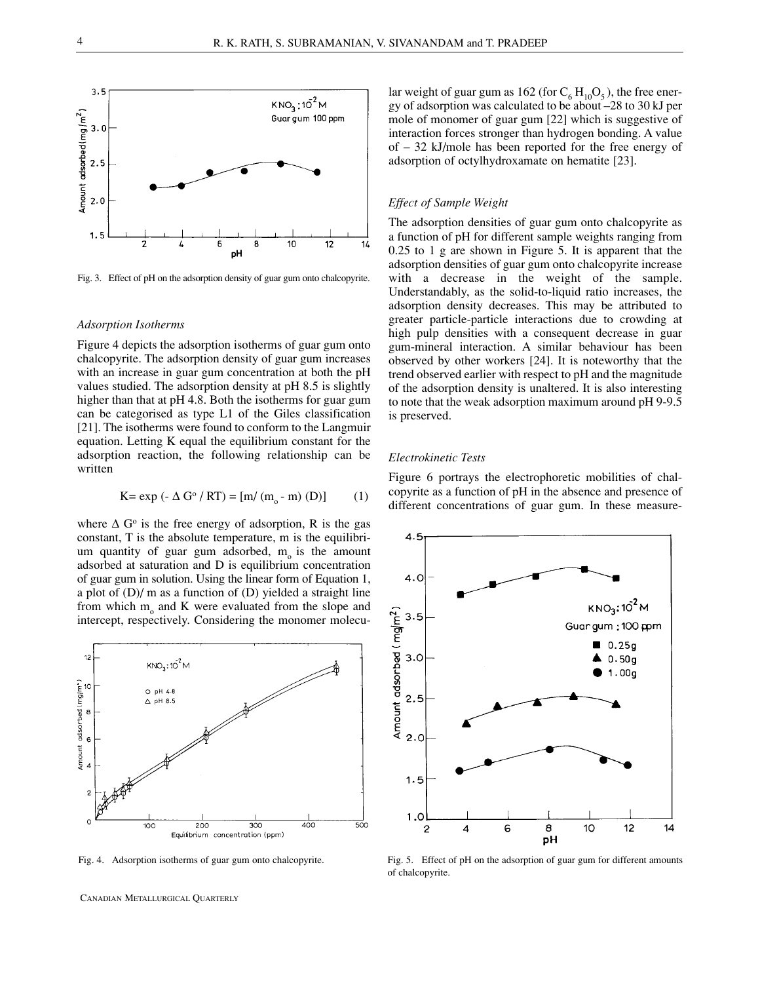

Fig. 3. Effect of pH on the adsorption density of guar gum onto chalcopyrite.

#### *Adsorption Isotherms*

Figure 4 depicts the adsorption isotherms of guar gum onto chalcopyrite. The adsorption density of guar gum increases with an increase in guar gum concentration at both the pH values studied. The adsorption density at pH 8.5 is slightly higher than that at pH 4.8. Both the isotherms for guar gum can be categorised as type L1 of the Giles classification [21]. The isotherms were found to conform to the Langmuir equation. Letting K equal the equilibrium constant for the adsorption reaction, the following relationship can be written

$$
K = exp(-\Delta G^{\circ} / RT) = [m/(m_{o} - m) (D)]
$$
 (1)

where  $\Delta G^{\circ}$  is the free energy of adsorption, R is the gas constant, T is the absolute temperature, m is the equilibrium quantity of guar gum adsorbed,  $m_0$  is the amount adsorbed at saturation and D is equilibrium concentration of guar gum in solution. Using the linear form of Equation 1, a plot of (D)/ m as a function of (D) yielded a straight line from which  $m_0$  and K were evaluated from the slope and intercept, respectively. Considering the monomer molecu-



lar weight of guar gum as 162 (for  $C_6 H_{10}O_5$ ), the free energy of adsorption was calculated to be about –28 to 30 kJ per mole of monomer of guar gum [22] which is suggestive of interaction forces stronger than hydrogen bonding. A value of – 32 kJ/mole has been reported for the free energy of adsorption of octylhydroxamate on hematite [23].

#### *Effect of Sample Weight*

The adsorption densities of guar gum onto chalcopyrite as a function of pH for different sample weights ranging from 0.25 to 1 g are shown in Figure 5. It is apparent that the adsorption densities of guar gum onto chalcopyrite increase with a decrease in the weight of the sample. Understandably, as the solid-to-liquid ratio increases, the adsorption density decreases. This may be attributed to greater particle-particle interactions due to crowding at high pulp densities with a consequent decrease in guar gum-mineral interaction. A similar behaviour has been observed by other workers [24]. It is noteworthy that the trend observed earlier with respect to pH and the magnitude of the adsorption density is unaltered. It is also interesting to note that the weak adsorption maximum around pH 9-9.5 is preserved.

#### *Electrokinetic Tests*

Figure 6 portrays the electrophoretic mobilities of chalcopyrite as a function of pH in the absence and presence of different concentrations of guar gum. In these measure-



Fig. 4. Adsorption isotherms of guar gum onto chalcopyrite. Fig. 5. Effect of pH on the adsorption of guar gum for different amounts of chalcopyrite.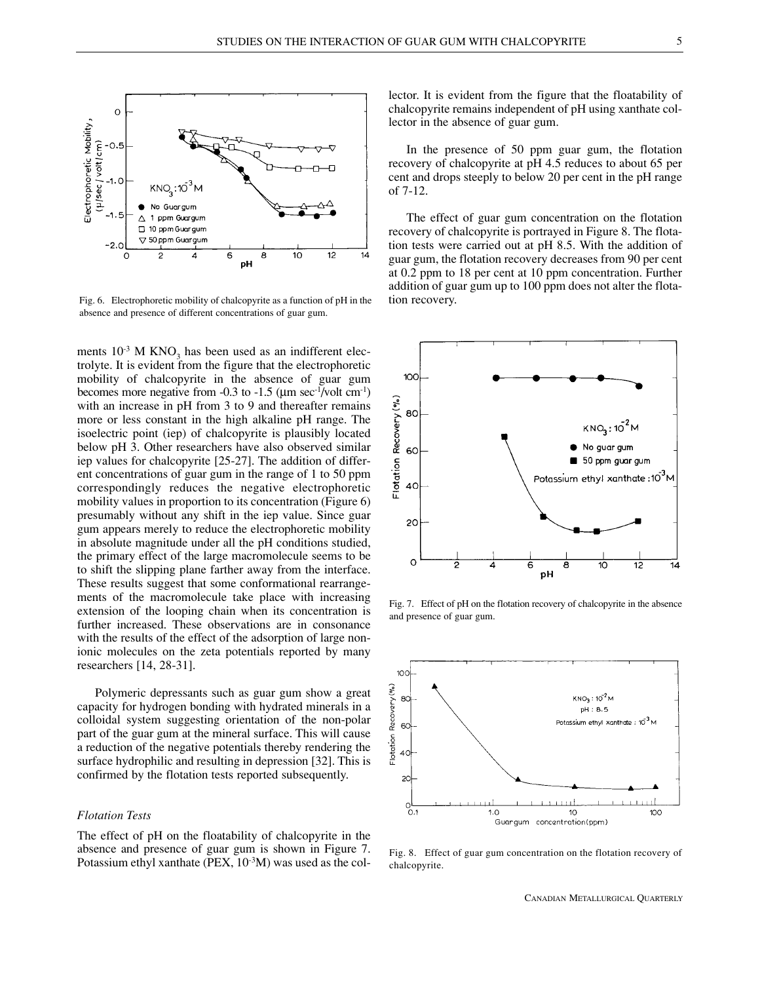

Fig. 6. Electrophoretic mobility of chalcopyrite as a function of pH in the absence and presence of different concentrations of guar gum.

ments  $10^{-3}$  M KNO<sub>3</sub> has been used as an indifferent electrolyte. It is evident from the figure that the electrophoretic mobility of chalcopyrite in the absence of guar gum becomes more negative from  $-0.3$  to  $-1.5$  ( $\mu$ m sec<sup>-1</sup>/volt cm<sup>-1</sup>) with an increase in pH from 3 to 9 and thereafter remains more or less constant in the high alkaline pH range. The isoelectric point (iep) of chalcopyrite is plausibly located below pH 3. Other researchers have also observed similar iep values for chalcopyrite [25-27]. The addition of different concentrations of guar gum in the range of 1 to 50 ppm correspondingly reduces the negative electrophoretic mobility values in proportion to its concentration (Figure 6) presumably without any shift in the iep value. Since guar gum appears merely to reduce the electrophoretic mobility in absolute magnitude under all the pH conditions studied, the primary effect of the large macromolecule seems to be to shift the slipping plane farther away from the interface. These results suggest that some conformational rearrangements of the macromolecule take place with increasing extension of the looping chain when its concentration is further increased. These observations are in consonance with the results of the effect of the adsorption of large nonionic molecules on the zeta potentials reported by many researchers [14, 28-31].

Polymeric depressants such as guar gum show a great capacity for hydrogen bonding with hydrated minerals in a colloidal system suggesting orientation of the non-polar part of the guar gum at the mineral surface. This will cause a reduction of the negative potentials thereby rendering the surface hydrophilic and resulting in depression [32]. This is confirmed by the flotation tests reported subsequently.

## *Flotation Tests*

The effect of pH on the floatability of chalcopyrite in the absence and presence of guar gum is shown in Figure 7. Potassium ethyl xanthate (PEX,  $10^{-3}$ M) was used as the collector. It is evident from the figure that the floatability of chalcopyrite remains independent of pH using xanthate collector in the absence of guar gum.

In the presence of 50 ppm guar gum, the flotation recovery of chalcopyrite at pH 4.5 reduces to about 65 per cent and drops steeply to below 20 per cent in the pH range of 7-12.

The effect of guar gum concentration on the flotation recovery of chalcopyrite is portrayed in Figure 8. The flotation tests were carried out at pH 8.5. With the addition of guar gum, the flotation recovery decreases from 90 per cent at 0.2 ppm to 18 per cent at 10 ppm concentration. Further addition of guar gum up to 100 ppm does not alter the flotation recovery.



Fig. 7. Effect of pH on the flotation recovery of chalcopyrite in the absence and presence of guar gum.



Fig. 8. Effect of guar gum concentration on the flotation recovery of chalcopyrite.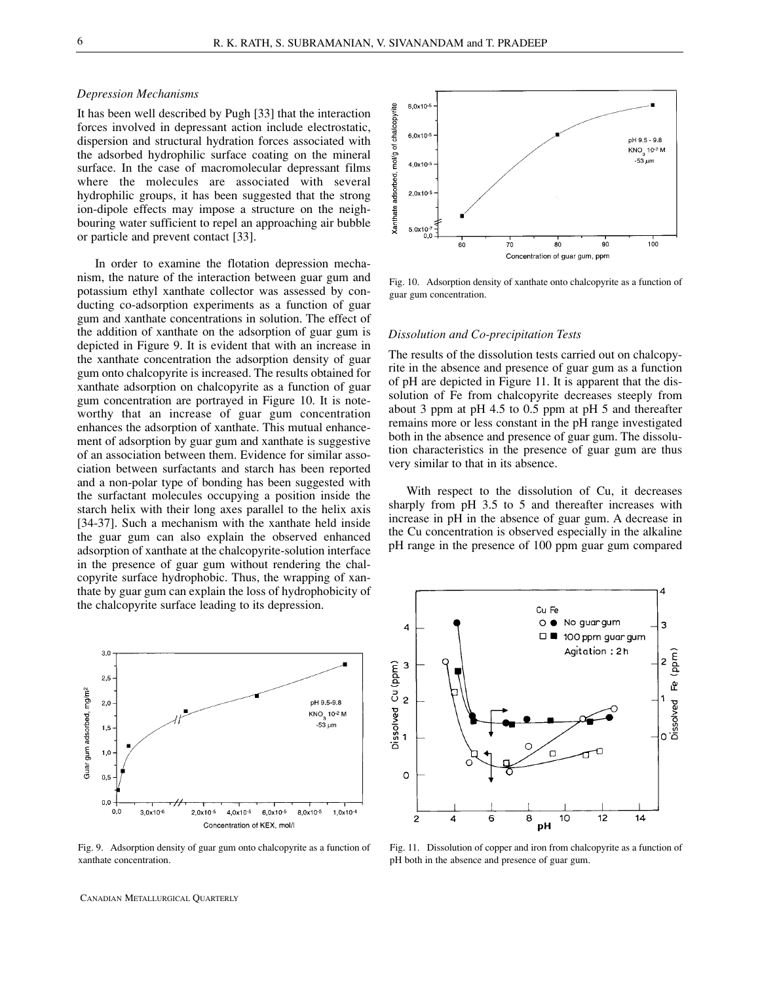#### *Depression Mechanisms*

It has been well described by Pugh [33] that the interaction forces involved in depressant action include electrostatic, dispersion and structural hydration forces associated with the adsorbed hydrophilic surface coating on the mineral surface. In the case of macromolecular depressant films where the molecules are associated with several hydrophilic groups, it has been suggested that the strong ion-dipole effects may impose a structure on the neighbouring water sufficient to repel an approaching air bubble or particle and prevent contact [33].

In order to examine the flotation depression mechanism, the nature of the interaction between guar gum and potassium ethyl xanthate collector was assessed by conducting co-adsorption experiments as a function of guar gum and xanthate concentrations in solution. The effect of the addition of xanthate on the adsorption of guar gum is depicted in Figure 9. It is evident that with an increase in the xanthate concentration the adsorption density of guar gum onto chalcopyrite is increased. The results obtained for xanthate adsorption on chalcopyrite as a function of guar gum concentration are portrayed in Figure 10. It is noteworthy that an increase of guar gum concentration enhances the adsorption of xanthate. This mutual enhancement of adsorption by guar gum and xanthate is suggestive of an association between them. Evidence for similar association between surfactants and starch has been reported and a non-polar type of bonding has been suggested with the surfactant molecules occupying a position inside the starch helix with their long axes parallel to the helix axis [34-37]. Such a mechanism with the xanthate held inside the guar gum can also explain the observed enhanced adsorption of xanthate at the chalcopyrite-solution interface in the presence of guar gum without rendering the chalcopyrite surface hydrophobic. Thus, the wrapping of xanthate by guar gum can explain the loss of hydrophobicity of the chalcopyrite surface leading to its depression.



Fig. 9. Adsorption density of guar gum onto chalcopyrite as a function of xanthate concentration.

CANADIAN METALLURGICAL QUARTERLY



Fig. 10. Adsorption density of xanthate onto chalcopyrite as a function of guar gum concentration.

## *Dissolution and Co-precipitation Tests*

The results of the dissolution tests carried out on chalcopyrite in the absence and presence of guar gum as a function of pH are depicted in Figure 11. It is apparent that the dissolution of Fe from chalcopyrite decreases steeply from about 3 ppm at pH 4.5 to 0.5 ppm at pH 5 and thereafter remains more or less constant in the pH range investigated both in the absence and presence of guar gum. The dissolution characteristics in the presence of guar gum are thus very similar to that in its absence.

With respect to the dissolution of Cu, it decreases sharply from pH 3.5 to 5 and thereafter increases with increase in pH in the absence of guar gum. A decrease in the Cu concentration is observed especially in the alkaline pH range in the presence of 100 ppm guar gum compared



Fig. 11. Dissolution of copper and iron from chalcopyrite as a function of pH both in the absence and presence of guar gum.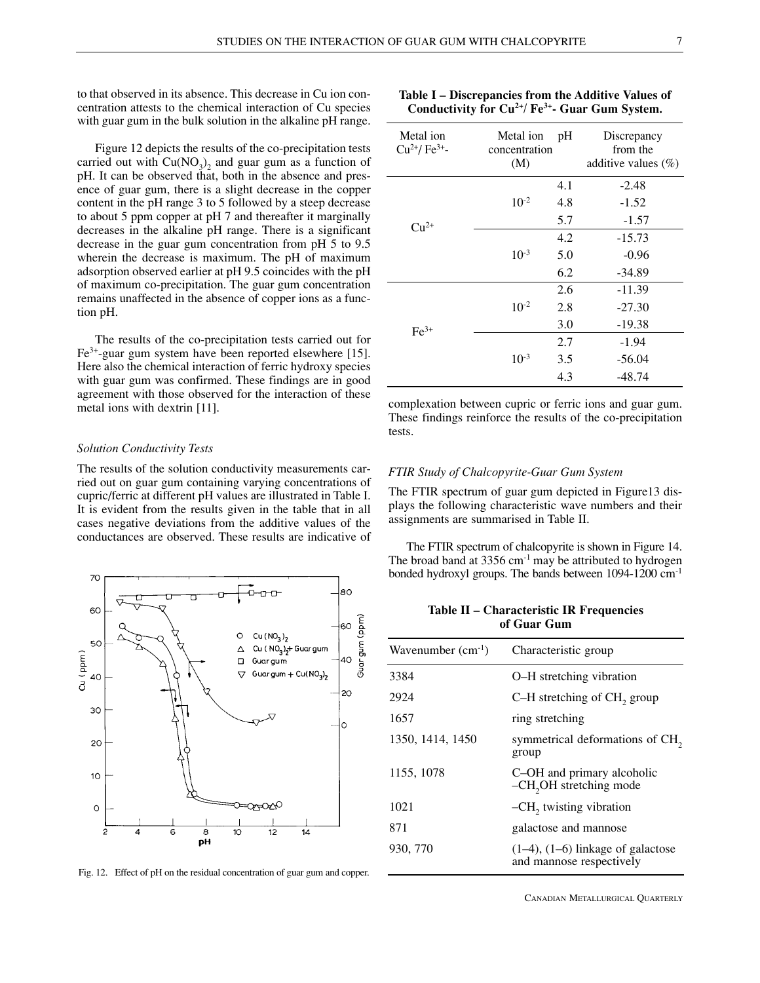to that observed in its absence. This decrease in Cu ion concentration attests to the chemical interaction of Cu species with guar gum in the bulk solution in the alkaline pH range.

Figure 12 depicts the results of the co-precipitation tests carried out with  $Cu(NO_3)_2$  and guar gum as a function of pH. It can be observed that, both in the absence and presence of guar gum, there is a slight decrease in the copper content in the pH range 3 to 5 followed by a steep decrease to about 5 ppm copper at pH 7 and thereafter it marginally decreases in the alkaline pH range. There is a significant decrease in the guar gum concentration from pH 5 to 9.5 wherein the decrease is maximum. The pH of maximum adsorption observed earlier at pH 9.5 coincides with the pH of maximum co-precipitation. The guar gum concentration remains unaffected in the absence of copper ions as a function pH.

The results of the co-precipitation tests carried out for Fe3+-guar gum system have been reported elsewhere [15]. Here also the chemical interaction of ferric hydroxy species with guar gum was confirmed. These findings are in good agreement with those observed for the interaction of these metal ions with dextrin [11].

#### *Solution Conductivity Tests*

The results of the solution conductivity measurements carried out on guar gum containing varying concentrations of cupric/ferric at different pH values are illustrated in Table I. It is evident from the results given in the table that in all cases negative deviations from the additive values of the conductances are observed. These results are indicative of



Fig. 12. Effect of pH on the residual concentration of guar gum and copper.

| Metal ion<br>$Cu2+/Fe3+$ - | Metal ion<br>concentration<br>(M) | pH  | Discrepancy<br>from the<br>additive values $(\%)$ |
|----------------------------|-----------------------------------|-----|---------------------------------------------------|
| $C_{11}^{2+}$              |                                   | 4.1 | $-2.48$                                           |
|                            | $10^{-2}$                         | 4.8 | $-1.52$                                           |
|                            |                                   | 5.7 | $-1.57$                                           |
|                            |                                   | 4.2 | $-15.73$                                          |
|                            | $10^{-3}$                         | 5.0 | -0.96                                             |

| Table I – Discrepancies from the Additive Values of   |  |
|-------------------------------------------------------|--|
| Conductivity for $Cu^{2+}/Fe^{3+}$ - Guar Gum System. |  |

|        |           | 6.2 | $-34.89$                                                                                                                 |
|--------|-----------|-----|--------------------------------------------------------------------------------------------------------------------------|
|        |           | 2.6 | $-11.39$                                                                                                                 |
|        | $10^{-2}$ | 2.8 | $-27.30$                                                                                                                 |
| $Fe3+$ |           | 3.0 | $-19.38$                                                                                                                 |
|        |           | 2.7 | $-1.94$                                                                                                                  |
|        | $10^{-3}$ | 3.5 | $-56.04$                                                                                                                 |
|        |           | 4.3 | $-48.74$                                                                                                                 |
|        |           |     | complexation between cupric or ferric ions and guar gum.<br>These findings reinforce the results of the co-precipitation |

riese findings reinforce the results of the co-precipitation tests.

# *FTIR Study of Chalcopyrite-Guar Gum System*

The FTIR spectrum of guar gum depicted in Figure13 displays the following characteristic wave numbers and their assignments are summarised in Table II.

The FTIR spectrum of chalcopyrite is shown in Figure 14. The broad band at  $3356 \text{ cm}^{-1}$  may be attributed to hydrogen bonded hydroxyl groups. The bands between 1094-1200 cm-1

**Table II – Characteristic IR Frequencies of Guar Gum**

| Wavenumber $(cm^{-1})$ | Characteristic group                                               |
|------------------------|--------------------------------------------------------------------|
| 3384                   | O-H stretching vibration                                           |
| 2924                   | C-H stretching of CH <sub>2</sub> group                            |
| 1657                   | ring stretching                                                    |
| 1350, 1414, 1450       | symmetrical deformations of CH <sub>2</sub><br>group               |
| 1155, 1078             | C-OH and primary alcoholic<br>-CH <sub>2</sub> OH stretching mode  |
| 1021                   | $-CH2$ twisting vibration                                          |
| 871                    | galactose and mannose                                              |
| 930, 770               | $(1-4)$ , $(1-6)$ linkage of galactose<br>and mannose respectively |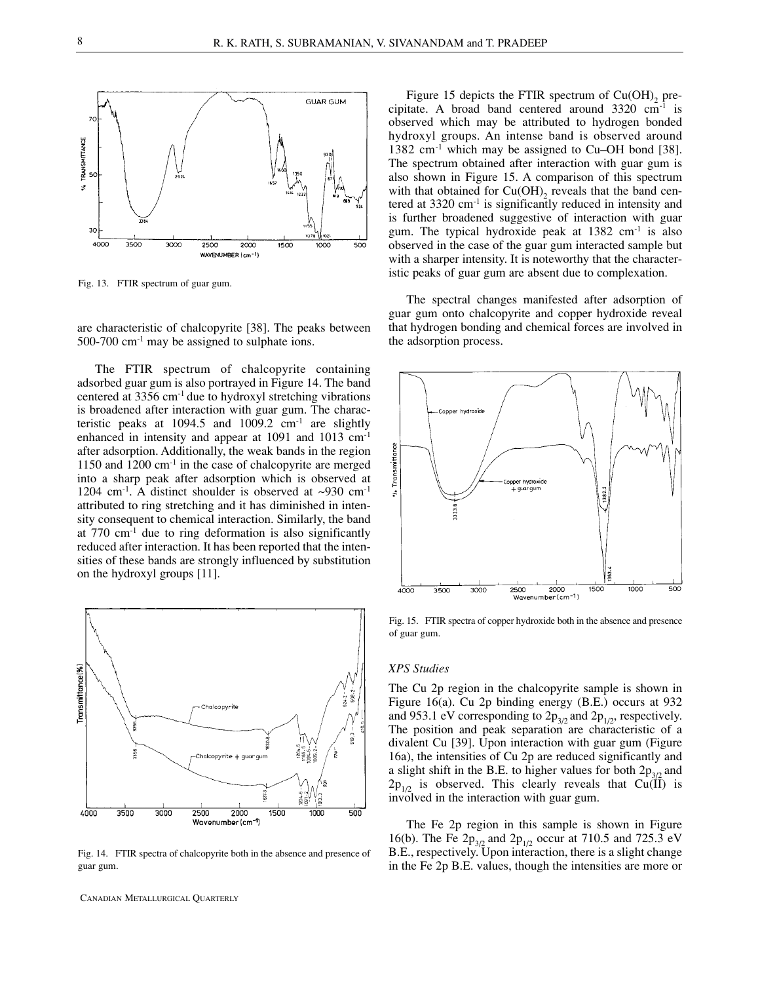

Fig. 13. FTIR spectrum of guar gum.



The FTIR spectrum of chalcopyrite containing adsorbed guar gum is also portrayed in Figure 14. The band centered at 3356 cm-1 due to hydroxyl stretching vibrations is broadened after interaction with guar gum. The characteristic peaks at  $1094.5$  and  $1009.2$  cm<sup>-1</sup> are slightly enhanced in intensity and appear at 1091 and 1013 cm-1 after adsorption. Additionally, the weak bands in the region 1150 and  $1200 \text{ cm}^{-1}$  in the case of chalcopyrite are merged into a sharp peak after adsorption which is observed at 1204 cm<sup>-1</sup>. A distinct shoulder is observed at  $\sim$ 930 cm<sup>-1</sup> attributed to ring stretching and it has diminished in intensity consequent to chemical interaction. Similarly, the band at  $770 \text{ cm}^{-1}$  due to ring deformation is also significantly reduced after interaction. It has been reported that the intensities of these bands are strongly influenced by substitution on the hydroxyl groups [11].



Fig. 14. FTIR spectra of chalcopyrite both in the absence and presence of guar gum.

CANADIAN METALLURGICAL QUARTERLY

Figure 15 depicts the FTIR spectrum of  $Cu(OH)$ <sub>2</sub> precipitate. A broad band centered around 3320 cm-1 is observed which may be attributed to hydrogen bonded hydroxyl groups. An intense band is observed around 1382  $cm^{-1}$  which may be assigned to Cu–OH bond [38]. The spectrum obtained after interaction with guar gum is also shown in Figure 15. A comparison of this spectrum with that obtained for  $Cu(OH)$ <sub>2</sub> reveals that the band centered at 3320 cm<sup>-1</sup> is significantly reduced in intensity and is further broadened suggestive of interaction with guar gum. The typical hydroxide peak at  $1382 \text{ cm}^{-1}$  is also observed in the case of the guar gum interacted sample but with a sharper intensity. It is noteworthy that the characteristic peaks of guar gum are absent due to complexation.

The spectral changes manifested after adsorption of guar gum onto chalcopyrite and copper hydroxide reveal that hydrogen bonding and chemical forces are involved in the adsorption process.



Fig. 15. FTIR spectra of copper hydroxide both in the absence and presence of guar gum.

#### *XPS Studies*

The Cu 2p region in the chalcopyrite sample is shown in Figure 16(a). Cu 2p binding energy (B.E.) occurs at 932 and 953.1 eV corresponding to  $2p_{3/2}$  and  $2p_{1/2}$ , respectively. The position and peak separation are characteristic of a divalent Cu [39]. Upon interaction with guar gum (Figure 16a), the intensities of Cu 2p are reduced significantly and a slight shift in the B.E. to higher values for both  $2p_{3/2}$  and  $2p_{1/2}$  is observed. This clearly reveals that Cu(II) is involved in the interaction with guar gum.

The Fe 2p region in this sample is shown in Figure 16(b). The Fe  $2p_{3/2}$  and  $2p_{1/2}$  occur at 710.5 and 725.3 eV B.E., respectively. Upon interaction, there is a slight change in the Fe 2p B.E. values, though the intensities are more or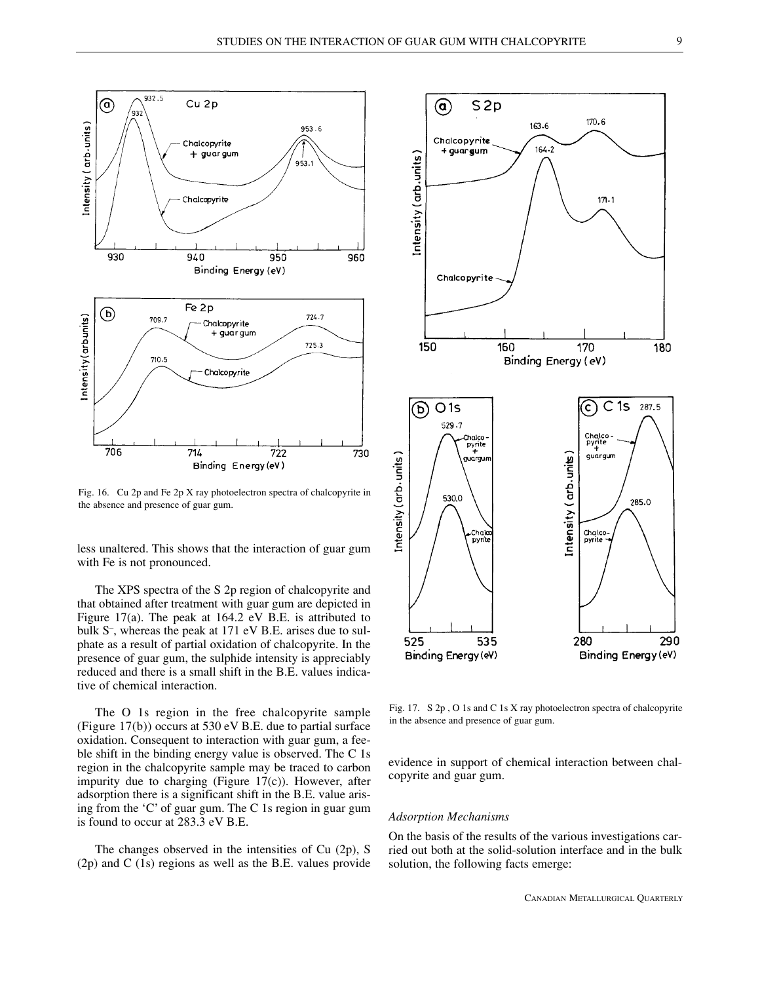

Fig. 16. Cu 2p and Fe 2p X ray photoelectron spectra of chalcopyrite in the absence and presence of guar gum.

less unaltered. This shows that the interaction of guar gum with Fe is not pronounced.

The XPS spectra of the S 2p region of chalcopyrite and that obtained after treatment with guar gum are depicted in Figure 17(a). The peak at 164.2 eV B.E. is attributed to bulk S– , whereas the peak at 171 eV B.E. arises due to sulphate as a result of partial oxidation of chalcopyrite. In the presence of guar gum, the sulphide intensity is appreciably reduced and there is a small shift in the B.E. values indicative of chemical interaction.

The O 1s region in the free chalcopyrite sample (Figure 17(b)) occurs at 530 eV B.E. due to partial surface oxidation. Consequent to interaction with guar gum, a feeble shift in the binding energy value is observed. The C 1s region in the chalcopyrite sample may be traced to carbon impurity due to charging (Figure 17(c)). However, after adsorption there is a significant shift in the B.E. value arising from the 'C' of guar gum. The C 1s region in guar gum is found to occur at 283.3 eV B.E.

The changes observed in the intensities of Cu (2p), S (2p) and C (1s) regions as well as the B.E. values provide



Fig. 17. S 2p , O 1s and C 1s X ray photoelectron spectra of chalcopyrite in the absence and presence of guar gum.

evidence in support of chemical interaction between chalcopyrite and guar gum.

#### *Adsorption Mechanisms*

On the basis of the results of the various investigations carried out both at the solid-solution interface and in the bulk solution, the following facts emerge: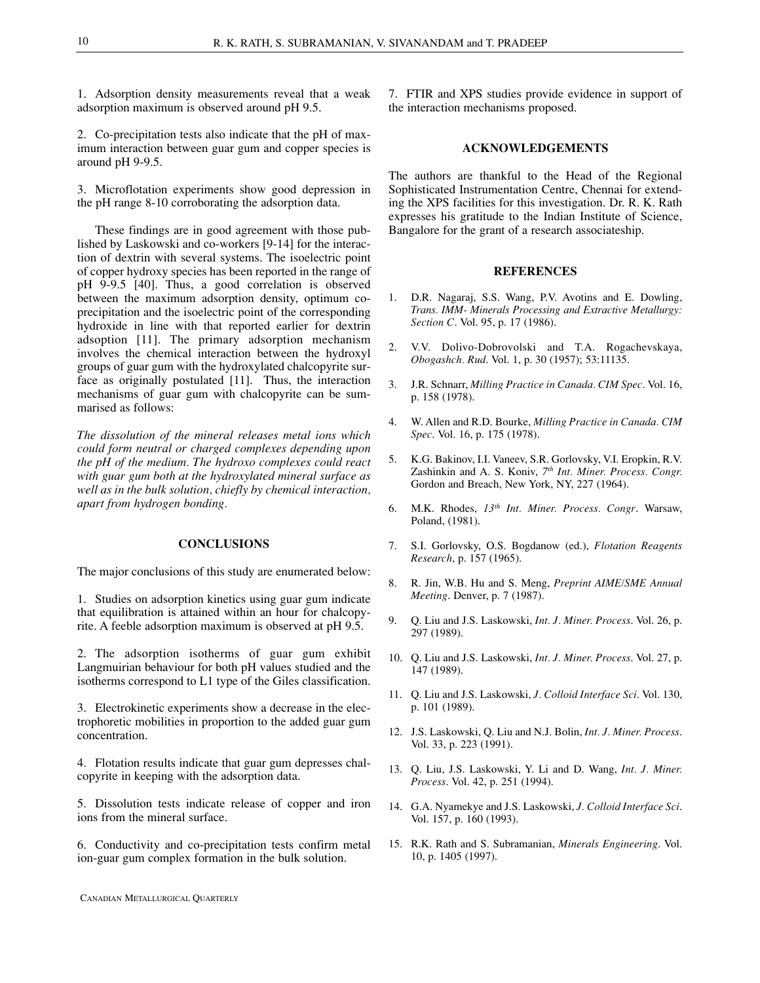1. Adsorption density measurements reveal that a weak adsorption maximum is observed around pH 9.5.

2. Co-precipitation tests also indicate that the pH of maximum interaction between guar gum and copper species is around pH 9-9.5.

3. Microflotation experiments show good depression in the pH range 8-10 corroborating the adsorption data.

These findings are in good agreement with those published by Laskowski and co-workers [9-14] for the interaction of dextrin with several systems. The isoelectric point of copper hydroxy species has been reported in the range of pH 9-9.5 [40]. Thus, a good correlation is observed between the maximum adsorption density, optimum coprecipitation and the isoelectric point of the corresponding hydroxide in line with that reported earlier for dextrin adsoption [11]. The primary adsorption mechanism involves the chemical interaction between the hydroxyl groups of guar gum with the hydroxylated chalcopyrite surface as originally postulated [11]. Thus, the interaction mechanisms of guar gum with chalcopyrite can be summarised as follows:

*The dissolution of the mineral releases metal ions which could form neutral or charged complexes depending upon the pH of the medium. The hydroxo complexes could react with guar gum both at the hydroxylated mineral surface as well as in the bulk solution, chiefly by chemical interaction, apart from hydrogen bonding.*

### **CONCLUSIONS**

The major conclusions of this study are enumerated below:

1. Studies on adsorption kinetics using guar gum indicate that equilibration is attained within an hour for chalcopyrite. A feeble adsorption maximum is observed at pH 9.5.

2. The adsorption isotherms of guar gum exhibit Langmuirian behaviour for both pH values studied and the isotherms correspond to L1 type of the Giles classification.

3. Electrokinetic experiments show a decrease in the electrophoretic mobilities in proportion to the added guar gum concentration.

4. Flotation results indicate that guar gum depresses chalcopyrite in keeping with the adsorption data.

5. Dissolution tests indicate release of copper and iron ions from the mineral surface.

6. Conductivity and co-precipitation tests confirm metal ion-guar gum complex formation in the bulk solution.

7. FTIR and XPS studies provide evidence in support of the interaction mechanisms proposed.

# **ACKNOWLEDGEMENTS**

The authors are thankful to the Head of the Regional Sophisticated Instrumentation Centre, Chennai for extending the XPS facilities for this investigation. Dr. R. K. Rath expresses his gratitude to the Indian Institute of Science, Bangalore for the grant of a research associateship.

#### **REFERENCES**

- 1. D.R. Nagaraj, S.S. Wang, P.V. Avotins and E. Dowling, *Trans. IMM- Minerals Processing and Extractive Metallurgy: Section C*. Vol. 95, p. 17 (1986).
- 2. V.V. Dolivo-Dobrovolski and T.A. Rogachevskaya, *Obogashch. Rud*. Vol. 1, p. 30 (1957); 53:11135.
- 3. J.R. Schnarr, *Milling Practice in Canada. CIM Spec*. Vol. 16, p. 158 (1978).
- 4. W. Allen and R.D. Bourke, *Milling Practice in Canada. CIM Spec*. Vol. 16, p. 175 (1978).
- 5. K.G. Bakinov, I.I. Vaneev, S.R. Gorlovsky, V.I. Eropkin, R.V. Zashinkin and A. S. Koniv, *7 th Int. Miner. Process. Congr.* Gordon and Breach, New York, NY, 227 (1964).
- 6. M.K. Rhodes, *13th Int. Miner. Process. Congr*. Warsaw, Poland, (1981).
- 7. S.I. Gorlovsky, O.S. Bogdanow (ed.), *Flotation Reagents Research*, p. 157 (1965).
- 8. R. Jin, W.B. Hu and S. Meng, *Preprint AIME/SME Annual Meeting*. Denver, p. 7 (1987).
- 9. Q. Liu and J.S. Laskowski, *Int. J. Miner. Process*. Vol. 26, p. 297 (1989).
- 10. Q. Liu and J.S. Laskowski, *Int. J. Miner. Process*. Vol. 27, p. 147 (1989).
- 11. Q. Liu and J.S. Laskowski, *J. Colloid Interface Sci*. Vol. 130, p. 101 (1989).
- 12. J.S. Laskowski, Q. Liu and N.J. Bolin, *Int. J. Miner. Process*. Vol. 33, p. 223 (1991).
- 13. Q. Liu, J.S. Laskowski, Y. Li and D. Wang, *Int. J. Miner. Process*. Vol. 42, p. 251 (1994).
- 14. G.A. Nyamekye and J.S. Laskowski, *J. Colloid Interface Sci*. Vol. 157, p. 160 (1993).
- 15. R.K. Rath and S. Subramanian, *Minerals Engineering*. Vol. 10, p. 1405 (1997).